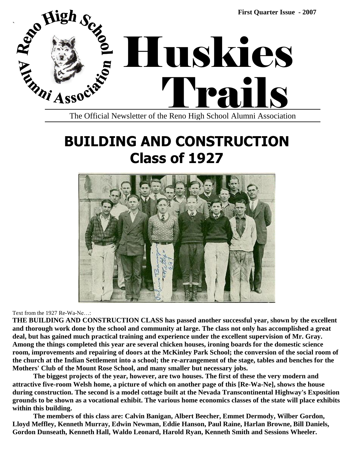

## **BUILDING AND CONSTRUCTION Class of 1927**



Text from the 1927 Re-Wa-Ne…:

**THE BUILDING AND CONSTRUCTION CLASS has passed another successful year, shown by the excellent and thorough work done by the school and community at large. The class not only has accomplished a great deal, but has gained much practical training and experience under the excellent supervision of Mr. Gray. Among the things completed this year are several chicken houses, ironing boards for the domestic science room, improvements and repairing of doors at the McKinley Park School; the conversion of the social room of the church at the Indian Settlement into a school; the re-arrangement of the stage, tables and benches for the Mothers' Club of the Mount Rose School, and many smaller but necessary jobs.**

**The biggest projects of the year, however, are two houses. The first of these the very modern and attractive five-room Welsh home, a picture of which on another page of this [Re-Wa-Ne], shows the house during construction. The second is a model cottage built at the Nevada Transcontinental Highway's Exposition grounds to be shown as a vocational exhibit. The various home economics classes of the state will place exhibits within this building.**

**The members of this class are: Calvin Banigan, Albert Beecher, Emmet Dermody, Wilber Gordon, Lloyd Meffley, Kenneth Murray, Edwin Newman, Eddie Hanson, Paul Raine, Harlan Browne, Bill Daniels, Gordon Dunseath, Kenneth Hall, Waldo Leonard, Harold Ryan, Kenneth Smith and Sessions Wheeler.**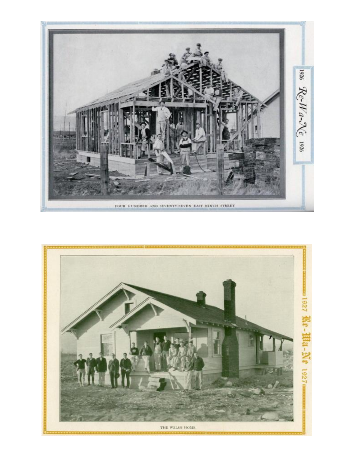

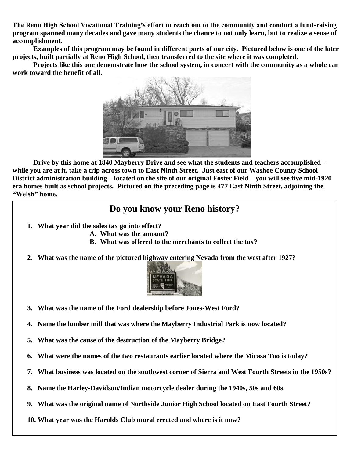**The Reno High School Vocational Training's effort to reach out to the community and conduct a fund-raising program spanned many decades and gave many students the chance to not only learn, but to realize a sense of accomplishment.**

**Examples of this program may be found in different parts of our city. Pictured below is one of the later projects, built partially at Reno High School, then transferred to the site where it was completed.**

**Projects like this one demonstrate how the school system, in concert with the community as a whole can work toward the benefit of all.**



**Drive by this home at 1840 Mayberry Drive and see what the students and teachers accomplished – while you are at it, take a trip across town to East Ninth Street. Just east of our Washoe County School District administration building – located on the site of our original Foster Field – you will see five mid-1920 era homes built as school projects. Pictured on the preceding page is 477 East Ninth Street, adjoining the ―Welsh‖ home.**

#### **Do you know your Reno history?**

- **1. What year did the sales tax go into effect?**
	- **A. What was the amount?**
	- **B. What was offered to the merchants to collect the tax?**
- **2. What was the name of the pictured highway entering Nevada from the west after 1927?**



- **3. What was the name of the Ford dealership before Jones-West Ford?**
- **4. Name the lumber mill that was where the Mayberry Industrial Park is now located?**
- **5. What was the cause of the destruction of the Mayberry Bridge?**
- **6. What were the names of the two restaurants earlier located where the Micasa Too is today?**
- **7. What business was located on the southwest corner of Sierra and West Fourth Streets in the 1950s?**
- **8. Name the Harley-Davidson/Indian motorcycle dealer during the 1940s, 50s and 60s.**
- **9. What was the original name of Northside Junior High School located on East Fourth Street?**
- **10. What year was the Harolds Club mural erected and where is it now?**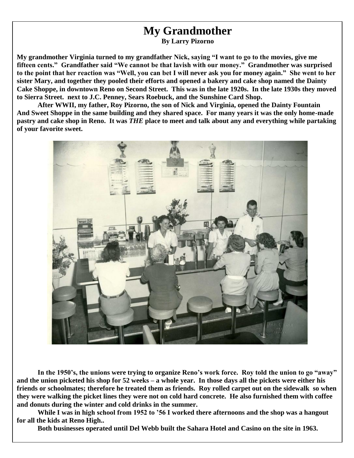### **My Grandmother**

**By Larry Pizorno**

**My grandmother Virginia turned to my grandfather Nick, saying ―I want to go to the movies, give me**  fifteen cents." Grandfather said "We cannot be that lavish with our money." Grandmother was surprised to the point that her reaction was "Well, you can bet I will never ask you for money again." She went to her **sister Mary, and together they pooled their efforts and opened a bakery and cake shop named the Dainty Cake Shoppe, in downtown Reno on Second Street. This was in the late 1920s. In the late 1930s they moved to Sierra Street. next to J.C. Penney, Sears Roebuck, and the Sunshine Card Shop.** 

**After WWII, my father, Roy Pizorno, the son of Nick and Virginia, opened the Dainty Fountain And Sweet Shoppe in the same building and they shared space. For many years it was the only home-made pastry and cake shop in Reno. It was** *THE* **place to meet and talk about any and everything while partaking of your favorite sweet.** 



In the 1950's, the unions were trying to organize Reno's work force. Roy told the union to go "away" **and the union picketed his shop for 52 weeks – a whole year. In those days all the pickets were either his friends or schoolmates; therefore he treated them as friends. Roy rolled carpet out on the sidewalk so when they were walking the picket lines they were not on cold hard concrete. He also furnished them with coffee and donuts during the winter and cold drinks in the summer.**

**While I was in high school from 1952 to '56 I worked there afternoons and the shop was a hangout for all the kids at Reno High..**

**Both businesses operated until Del Webb built the Sahara Hotel and Casino on the site in 1963.**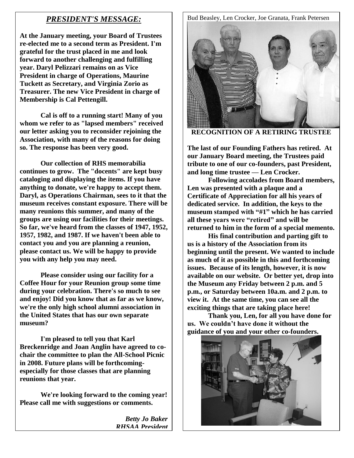#### *PRESIDENT'S MESSAGE:*

**At the January meeting, your Board of Trustees re-elected me to a second term as President. I'm grateful for the trust placed in me and look forward to another challenging and fulfilling year. Daryl Pelizzari remains on as Vice President in charge of Operations, Maurine Tuckett as Secretary, and Virginia Zorio as Treasurer. The new Vice President in charge of Membership is Cal Pettengill.**

**Cal is off to a running start! Many of you whom we refer to as "lapsed members" received our letter asking you to reconsider rejoining the Association, with many of the reasons for doing so. The response has been very good.**

**Our collection of RHS memorabilia continues to grow. The "docents" are kept busy cataloging and displaying the items. If you have anything to donate, we're happy to accept them. Daryl, as Operations Chairman, sees to it that the museum receives constant exposure. There will be many reunions this summer, and many of the groups are using our facilities for their meetings. So far, we've heard from the classes of 1947, 1952, 1957, 1982, and 1987. If we haven't been able to contact you and you are planning a reunion, please contact us. We will be happy to provide you with any help you may need.**

**Please consider using our facility for a Coffee Hour for your Reunion group some time during your celebration. There's so much to see and enjoy! Did you know that as far as we know, we're the only high school alumni association in the United States that has our own separate museum?**

**I'm pleased to tell you that Karl Breckenridge and Joan Anglin have agreed to cochair the committee to plan the All-School Picnic in 2008. Future plans will be forthcomingespecially for those classes that are planning reunions that year.**

**We're looking forward to the coming year! Please call me with suggestions or comments.**

> *Betty Jo Baker RHSAA President*

Bud Beasley, Len Crocker, Joe Granata, Frank Petersen



**RECOGNITION OF A RETIRING TRUSTEE**

**The last of our Founding Fathers has retired. At our January Board meeting, the Trustees paid tribute to one of our co-founders, past President, and long time trustee — Len Crocker.** 

**Following accolades from Board members, Len was presented with a plaque and a Certificate of Appreciation for all his years of dedicated service. In addition, the keys to the**  museum stamped with "#1" which he has carried all these years were "retired" and will be **returned to him in the form of a special memento.**

**His final contribution and parting gift to us is a history of the Association from its beginning until the present. We wanted to include as much of it as possible in this and forthcoming issues. Because of its length, however, it is now available on our website. Or better yet, drop into the Museum any Friday between 2 p.m. and 5 p.m., or Saturday between 10a.m. and 2 p.m. to view it. At the same time, you can see all the exciting things that are taking place here!** 

**Thank you, Len, for all you have done for us. We couldn't have done it without the guidance of you and your other co-founders.**

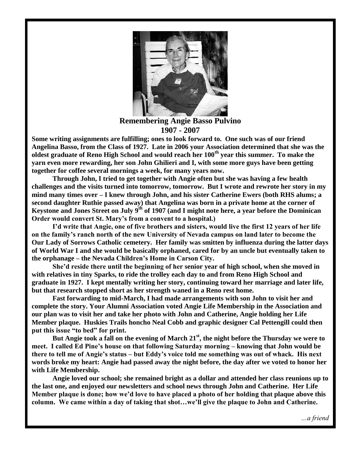

**Remembering Angie Basso Pulvino 1907 - 2007**

**Some writing assignments are fulfilling; ones to look forward to. One such was of our friend Angelina Basso, from the Class of 1927. Late in 2006 your Association determined that she was the oldest graduate of Reno High School and would reach her 100th year this summer. To make the yarn even more rewarding, her son John Ghilieri and I, with some more guys have been getting together for coffee several mornings a week, for many years now.**

**Through John, I tried to get together with Angie often but she was having a few health challenges and the visits turned into tomorrow, tomorrow. But I wrote and rewrote her story in my mind many times over – I knew through John, and his sister Catherine Ewers (both RHS alums; a second daughter Ruthie passed away) that Angelina was born in a private home at the corner of Keystone and Jones Street on July 9th of 1907 (and I might note here, a year before the Dominican Order would convert St. Mary's from a convent to a hospital.)**

**I'd write that Angie, one of five brothers and sisters, would live the first 12 years of her life on the family's ranch north of the new University of Nevada campus on land later to become the Our Lady of Sorrows Catholic cemetery. Her family was smitten by influenza during the latter days of World War I and she would be basically orphaned, cared for by an uncle but eventually taken to the orphanage – the Nevada Children's Home in Carson City.**

**She'd reside there until the beginning of her senior year of high school, when she moved in with relatives in tiny Sparks, to ride the trolley each day to and from Reno High School and graduate in 1927. I kept mentally writing her story, continuing toward her marriage and later life, but that research stopped short as her strength waned in a Reno rest home.**

**Fast forwarding to mid-March, I had made arrangements with son John to visit her and complete the story. Your Alumni Association voted Angie Life Membership in the Association and our plan was to visit her and take her photo with John and Catherine, Angie holding her Life Member plaque. Huskies Trails honcho Neal Cobb and graphic designer Cal Pettengill could then**  put this issue "to bed" for print.

**But Angie took a fall on the evening of March 21st , the night before the Thursday we were to meet. I called Ed Pine's house on that following Saturday morning – knowing that John would be there to tell me of Angie's status – but Eddy's voice told me something was out of whack. His next words broke my heart: Angie had passed away the night before, the day after we voted to honor her with Life Membership.** 

**Angie loved our school; she remained bright as a dollar and attended her class reunions up to the last one, and enjoyed our newsletters and school news through John and Catherine. Her Life Member plaque is done; how we'd love to have placed a photo of her holding that plaque above this column. We came within a day of taking that shot…we'll give the plaque to John and Catherine.**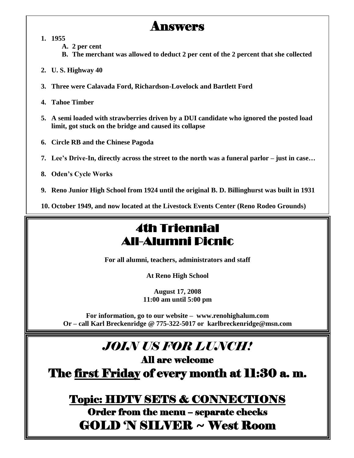### Answers

**1. 1955**

**A. 2 per cent**

**B. The merchant was allowed to deduct 2 per cent of the 2 percent that she collected**

- **2. U. S. Highway 40**
- **3. Three were Calavada Ford, Richardson-Lovelock and Bartlett Ford**
- **4. Tahoe Timber**
- **5. A semi loaded with strawberries driven by a DUI candidate who ignored the posted load limit, got stuck on the bridge and caused its collapse**
- **6. Circle RB and the Chinese Pagoda**
- **7. Lee's Drive-In, directly across the street to the north was a funeral parlor – just in case…**
- **8. Oden's Cycle Works**
- **9. Reno Junior High School from 1924 until the original B. D. Billinghurst was built in 1931**

**10. October 1949, and now located at the Livestock Events Center (Reno Rodeo Grounds)**

## 4th Triennial All-Alumni Picnic

**For all alumni, teachers, administrators and staff**

**At Reno High School**

**August 17, 2008 11:00 am until 5:00 pm**

**For information, go to our website – www.renohighalum.com Or – call Karl Breckenridge @ 775-322-5017 or karlbreckenridge@msn.com**

# *JOIN US FOR LUNCH!*

All are welcome

The first Friday of every month at 11:30 a. m.

#### Topic: HDTV SETS & CONNECTIONS

Order from the menu – separate checks GOLD 'N SILVER ~ West Room